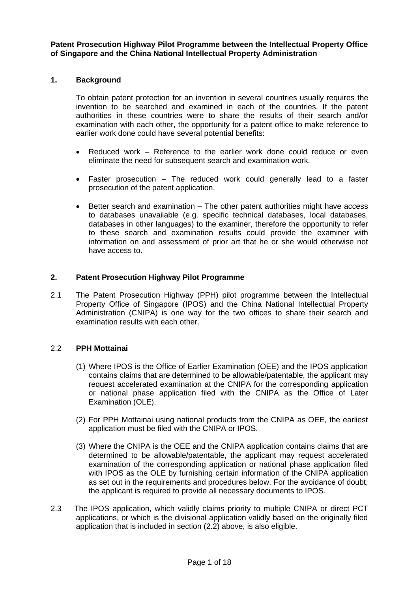**Patent Prosecution Highway Pilot Programme between the Intellectual Property Office of Singapore and the China National Intellectual Property Administration**

#### **1. Background**

To obtain patent protection for an invention in several countries usually requires the invention to be searched and examined in each of the countries. If the patent authorities in these countries were to share the results of their search and/or examination with each other, the opportunity for a patent office to make reference to earlier work done could have several potential benefits:

- Reduced work Reference to the earlier work done could reduce or even eliminate the need for subsequent search and examination work.
- Faster prosecution The reduced work could generally lead to a faster prosecution of the patent application.
- Better search and examination The other patent authorities might have access to databases unavailable (e.g. specific technical databases, local databases, databases in other languages) to the examiner, therefore the opportunity to refer to these search and examination results could provide the examiner with information on and assessment of prior art that he or she would otherwise not have access to.

#### **2. Patent Prosecution Highway Pilot Programme**

2.1 The Patent Prosecution Highway (PPH) pilot programme between the Intellectual Property Office of Singapore (IPOS) and the China National Intellectual Property Administration (CNIPA) is one way for the two offices to share their search and examination results with each other.

#### 2.2 **PPH Mottainai**

- (1) Where IPOS is the Office of Earlier Examination (OEE) and the IPOS application contains claims that are determined to be allowable/patentable, the applicant may request accelerated examination at the CNIPA for the corresponding application or national phase application filed with the CNIPA as the Office of Later Examination (OLE).
- (2) For PPH Mottainai using national products from the CNIPA as OEE, the earliest application must be filed with the CNIPA or IPOS.
- (3) Where the CNIPA is the OEE and the CNIPA application contains claims that are determined to be allowable/patentable, the applicant may request accelerated examination of the corresponding application or national phase application filed with IPOS as the OLE by furnishing certain information of the CNIPA application as set out in the requirements and procedures below. For the avoidance of doubt, the applicant is required to provide all necessary documents to IPOS.
- 2.3 The IPOS application, which validly claims priority to multiple CNIPA or direct PCT applications, or which is the divisional application validly based on the originally filed application that is included in section (2.2) above, is also eligible.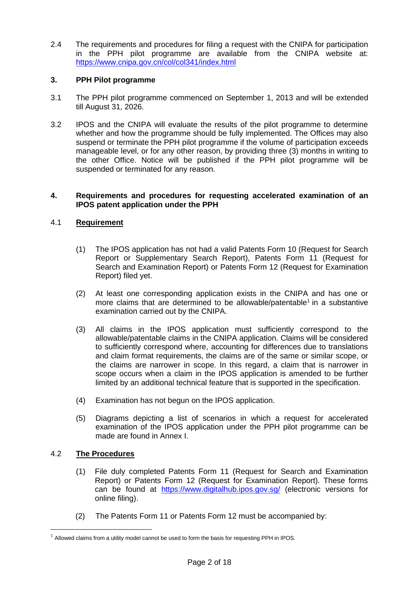2.4 The requirements and procedures for filing a request with the CNIPA for participation in the PPH pilot programme are available from the CNIPA website at: https://www.cnipa.gov.cn/col/col341/index.html

# **3. PPH Pilot programme**

- 3.1 The PPH pilot programme commenced on September 1, 2013 and will be extended till August 31, 2026.
- 3.2 IPOS and the CNIPA will evaluate the results of the pilot programme to determine whether and how the programme should be fully implemented. The Offices may also suspend or terminate the PPH pilot programme if the volume of participation exceeds manageable level, or for any other reason, by providing three (3) months in writing to the other Office. Notice will be published if the PPH pilot programme will be suspended or terminated for any reason.

#### **4. Requirements and procedures for requesting accelerated examination of an IPOS patent application under the PPH**

# 4.1 **Requirement**

- (1) The IPOS application has not had a valid Patents Form 10 (Request for Search Report or Supplementary Search Report), Patents Form 11 (Request for Search and Examination Report) or Patents Form 12 (Request for Examination Report) filed yet.
- (2) At least one corresponding application exists in the CNIPA and has one or more claims that are determined to be allowable/patentable<sup>1</sup> in a substantive examination carried out by the CNIPA.
- (3) All claims in the IPOS application must sufficiently correspond to the allowable/patentable claims in the CNIPA application. Claims will be considered to sufficiently correspond where, accounting for differences due to translations and claim format requirements, the claims are of the same or similar scope, or the claims are narrower in scope. In this regard, a claim that is narrower in scope occurs when a claim in the IPOS application is amended to be further limited by an additional technical feature that is supported in the specification.
- (4) Examination has not begun on the IPOS application.
- (5) Diagrams depicting a list of scenarios in which a request for accelerated examination of the IPOS application under the PPH pilot programme can be made are found in Annex I.

# 4.2 **The Procedures**

- (1) File duly completed Patents Form 11 (Request for Search and Examination Report) or Patents Form 12 (Request for Examination Report). These forms can be found at <https://www.digitalhub.ipos.gov.sg/> (electronic versions for online filing).
- (2) The Patents Form 11 or Patents Form 12 must be accompanied by:

 $<sup>1</sup>$  Allowed claims from a utility model cannot be used to form the basis for requesting PPH in IPOS.</sup>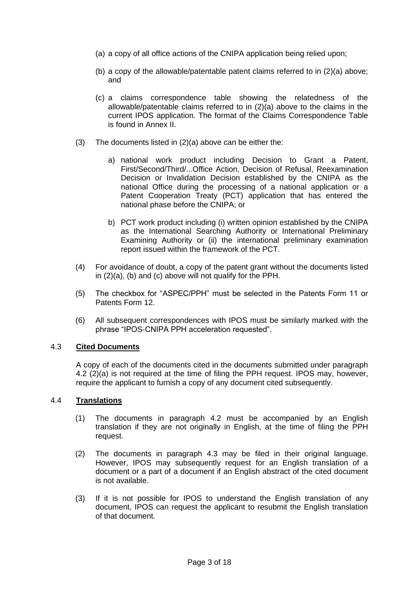- (a) a copy of all office actions of the CNIPA application being relied upon;
- (b) a copy of the allowable/patentable patent claims referred to in (2)(a) above; and
- (c) a claims correspondence table showing the relatedness of the allowable/patentable claims referred to in (2)(a) above to the claims in the current IPOS application. The format of the Claims Correspondence Table is found in Annex II.
- (3) The documents listed in (2)(a) above can be either the:
	- a) national work product including Decision to Grant a Patent, First/Second/Third/...Office Action, Decision of Refusal, Reexamination Decision or Invalidation Decision established by the CNIPA as the national Office during the processing of a national application or a Patent Cooperation Treaty (PCT) application that has entered the national phase before the CNIPA; or
	- b) PCT work product including (i) written opinion established by the CNIPA as the International Searching Authority or International Preliminary Examining Authority or (ii) the international preliminary examination report issued within the framework of the PCT.
- (4) For avoidance of doubt, a copy of the patent grant without the documents listed in (2)(a), (b) and (c) above will not qualify for the PPH.
- (5) The checkbox for "ASPEC/PPH" must be selected in the Patents Form 11 or Patents Form 12.
- (6) All subsequent correspondences with IPOS must be similarly marked with the phrase "IPOS-CNIPA PPH acceleration requested".

#### 4.3 **Cited Documents**

A copy of each of the documents cited in the documents submitted under paragraph 4.2 (2)(a) is not required at the time of filing the PPH request. IPOS may, however, require the applicant to furnish a copy of any document cited subsequently.

#### 4.4 **Translations**

- (1) The documents in paragraph 4.2 must be accompanied by an English translation if they are not originally in English, at the time of filing the PPH request.
- (2) The documents in paragraph 4.3 may be filed in their original language. However, IPOS may subsequently request for an English translation of a document or a part of a document if an English abstract of the cited document is not available.
- (3) If it is not possible for IPOS to understand the English translation of any document, IPOS can request the applicant to resubmit the English translation of that document.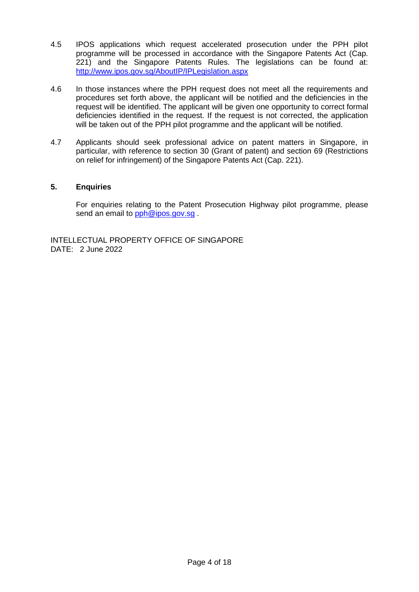- 4.5 IPOS applications which request accelerated prosecution under the PPH pilot programme will be processed in accordance with the Singapore Patents Act (Cap. 221) and the Singapore Patents Rules. The legislations can be found at: <http://www.ipos.gov.sg/AboutIP/IPLegislation.aspx>
- 4.6 In those instances where the PPH request does not meet all the requirements and procedures set forth above, the applicant will be notified and the deficiencies in the request will be identified. The applicant will be given one opportunity to correct formal deficiencies identified in the request. If the request is not corrected, the application will be taken out of the PPH pilot programme and the applicant will be notified.
- 4.7 Applicants should seek professional advice on patent matters in Singapore, in particular, with reference to section 30 (Grant of patent) and section 69 (Restrictions on relief for infringement) of the Singapore Patents Act (Cap. 221).

# **5. Enquiries**

For enquiries relating to the Patent Prosecution Highway pilot programme, please send an email to [pph@ipos.gov.sg](mailto:pph@ipos.gov.sg).

INTELLECTUAL PROPERTY OFFICE OF SINGAPORE DATE: 2 June 2022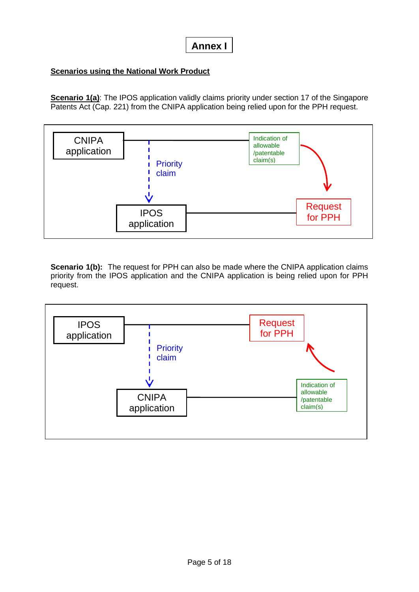# **Scenarios using the National Work Product**

**Scenario 1(a)**: The IPOS application validly claims priority under section 17 of the Singapore Patents Act (Cap. 221) from the CNIPA application being relied upon for the PPH request.



**Scenario 1(b):** The request for PPH can also be made where the CNIPA application claims priority from the IPOS application and the CNIPA application is being relied upon for PPH request.

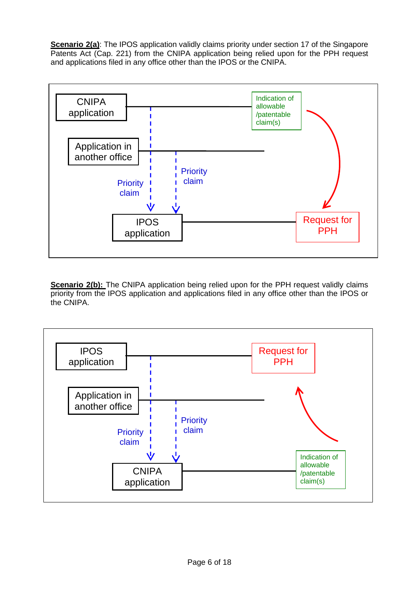**Scenario 2(a)**: The IPOS application validly claims priority under section 17 of the Singapore Patents Act (Cap. 221) from the CNIPA application being relied upon for the PPH request and applications filed in any office other than the IPOS or the CNIPA.



**Scenario 2(b):** The CNIPA application being relied upon for the PPH request validly claims priority from the IPOS application and applications filed in any office other than the IPOS or the CNIPA.

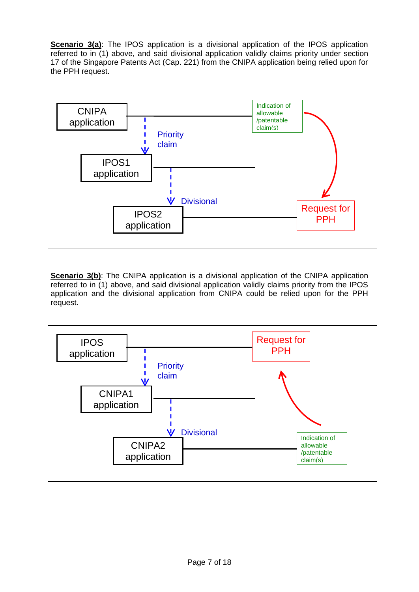**Scenario 3(a)**: The IPOS application is a divisional application of the IPOS application referred to in (1) above, and said divisional application validly claims priority under section 17 of the Singapore Patents Act (Cap. 221) from the CNIPA application being relied upon for the PPH request.



**Scenario 3(b)**: The CNIPA application is a divisional application of the CNIPA application referred to in (1) above, and said divisional application validly claims priority from the IPOS application and the divisional application from CNIPA could be relied upon for the PPH request.

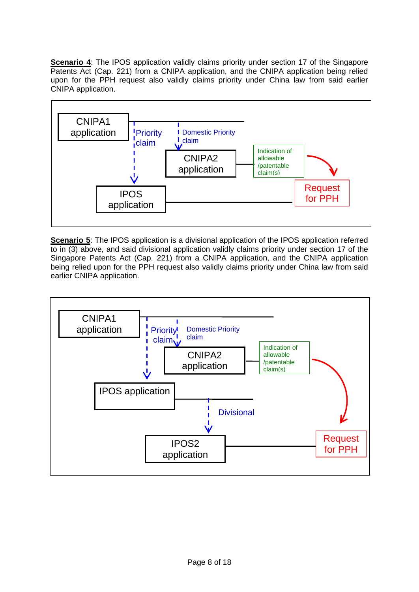**Scenario 4:** The IPOS application validly claims priority under section 17 of the Singapore Patents Act (Cap. 221) from a CNIPA application, and the CNIPA application being relied upon for the PPH request also validly claims priority under China law from said earlier CNIPA application.



**Scenario 5**: The IPOS application is a divisional application of the IPOS application referred to in (3) above, and said divisional application validly claims priority under section 17 of the Singapore Patents Act (Cap. 221) from a CNIPA application, and the CNIPA application being relied upon for the PPH request also validly claims priority under China law from said earlier CNIPA application.

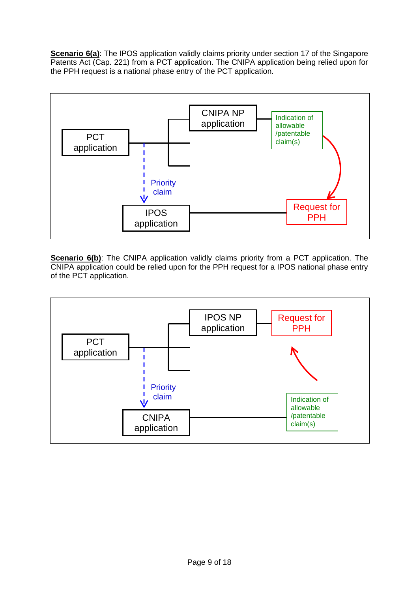**Scenario 6(a)**: The IPOS application validly claims priority under section 17 of the Singapore Patents Act (Cap. 221) from a PCT application. The CNIPA application being relied upon for the PPH request is a national phase entry of the PCT application.



**Scenario 6(b)**: The CNIPA application validly claims priority from a PCT application. The CNIPA application could be relied upon for the PPH request for a IPOS national phase entry of the PCT application.

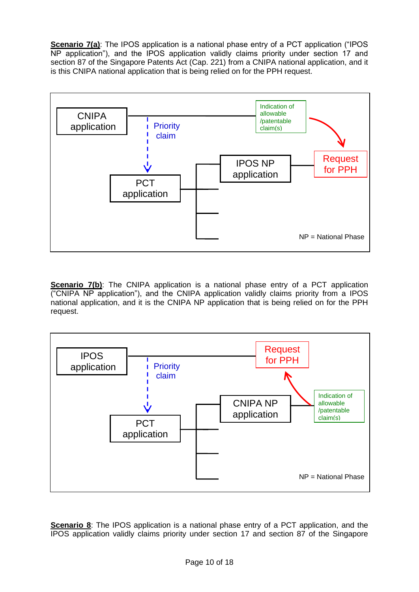**Scenario 7(a)**: The IPOS application is a national phase entry of a PCT application ("IPOS NP application"), and the IPOS application validly claims priority under section 17 and section 87 of the Singapore Patents Act (Cap. 221) from a CNIPA national application, and it is this CNIPA national application that is being relied on for the PPH request.



**Scenario 7(b)**: The CNIPA application is a national phase entry of a PCT application ("CNIPA NP application"), and the CNIPA application validly claims priority from a IPOS national application, and it is the CNIPA NP application that is being relied on for the PPH request.



**Scenario 8**: The IPOS application is a national phase entry of a PCT application, and the IPOS application validly claims priority under section 17 and section 87 of the Singapore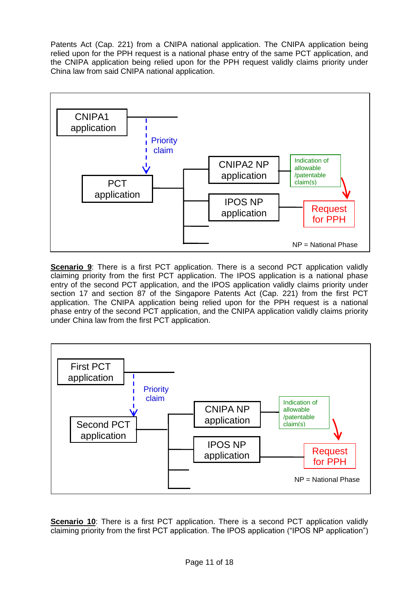Patents Act (Cap. 221) from a CNIPA national application. The CNIPA application being relied upon for the PPH request is a national phase entry of the same PCT application, and the CNIPA application being relied upon for the PPH request validly claims priority under China law from said CNIPA national application.



**Scenario 9**: There is a first PCT application. There is a second PCT application validly claiming priority from the first PCT application. The IPOS application is a national phase entry of the second PCT application, and the IPOS application validly claims priority under section 17 and section 87 of the Singapore Patents Act (Cap. 221) from the first PCT application. The CNIPA application being relied upon for the PPH request is a national phase entry of the second PCT application, and the CNIPA application validly claims priority under China law from the first PCT application.



**Scenario 10**: There is a first PCT application. There is a second PCT application validly claiming priority from the first PCT application. The IPOS application ("IPOS NP application")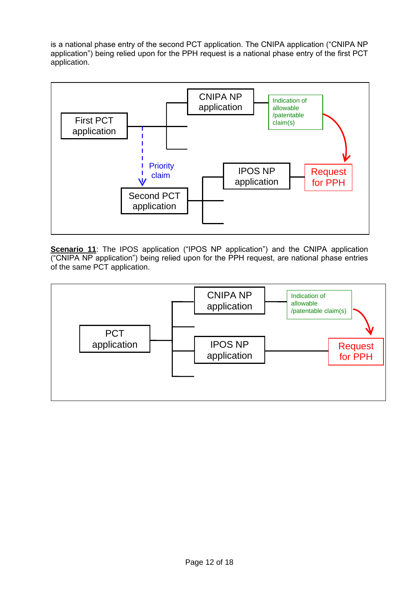is a national phase entry of the second PCT application. The CNIPA application ("CNIPA NP application") being relied upon for the PPH request is a national phase entry of the first PCT application.



**Scenario 11**: The IPOS application ("IPOS NP application") and the CNIPA application ("CNIPA NP application") being relied upon for the PPH request, are national phase entries of the same PCT application.

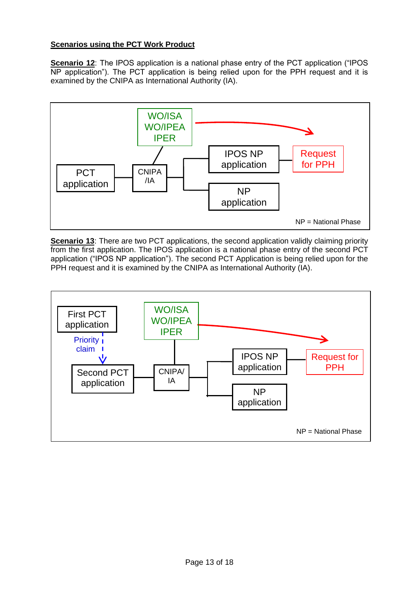# **Scenarios using the PCT Work Product**

**Scenario 12:** The IPOS application is a national phase entry of the PCT application ("IPOS NP application"). The PCT application is being relied upon for the PPH request and it is examined by the CNIPA as International Authority (IA).



**Scenario 13:** There are two PCT applications, the second application validly claiming priority from the first application. The IPOS application is a national phase entry of the second PCT application ("IPOS NP application"). The second PCT Application is being relied upon for the PPH request and it is examined by the CNIPA as International Authority (IA).

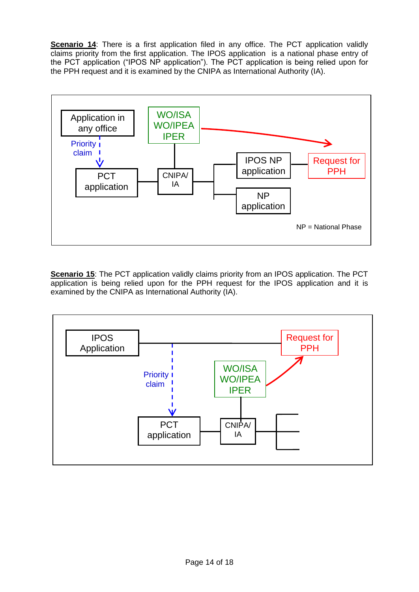**Scenario 14:** There is a first application filed in any office. The PCT application validly claims priority from the first application. The IPOS application is a national phase entry of the PCT application ("IPOS NP application"). The PCT application is being relied upon for the PPH request and it is examined by the CNIPA as International Authority (IA).



**Scenario 15:** The PCT application validly claims priority from an IPOS application. The PCT application is being relied upon for the PPH request for the IPOS application and it is examined by the CNIPA as International Authority (IA).

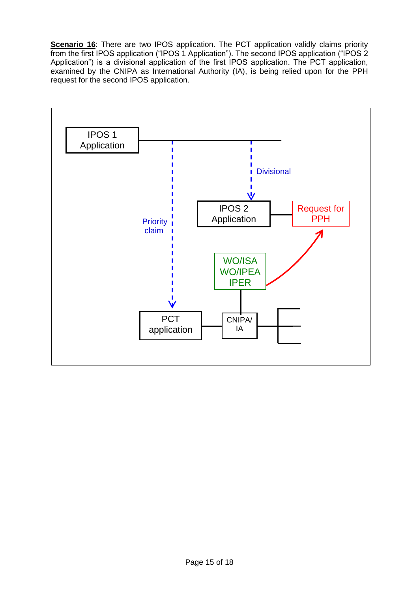**Scenario 16**: There are two IPOS application. The PCT application validly claims priority from the first IPOS application ("IPOS 1 Application"). The second IPOS application ("IPOS 2 Application") is a divisional application of the first IPOS application. The PCT application, examined by the CNIPA as International Authority (IA), is being relied upon for the PPH request for the second IPOS application.

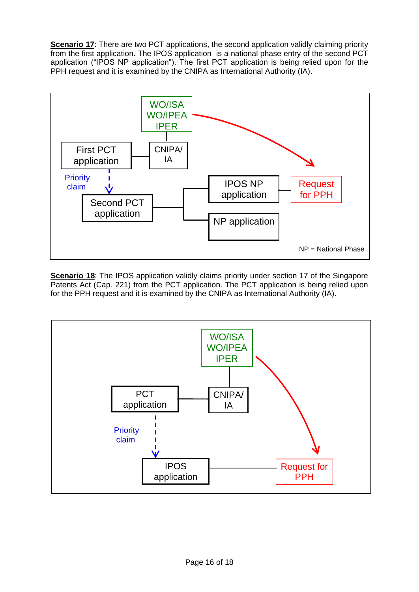**Scenario 17:** There are two PCT applications, the second application validly claiming priority from the first application. The IPOS application is a national phase entry of the second PCT application ("IPOS NP application"). The first PCT application is being relied upon for the PPH request and it is examined by the CNIPA as International Authority (IA).



**Scenario 18:** The IPOS application validly claims priority under section 17 of the Singapore Patents Act (Cap. 221) from the PCT application. The PCT application is being relied upon for the PPH request and it is examined by the CNIPA as International Authority (IA).

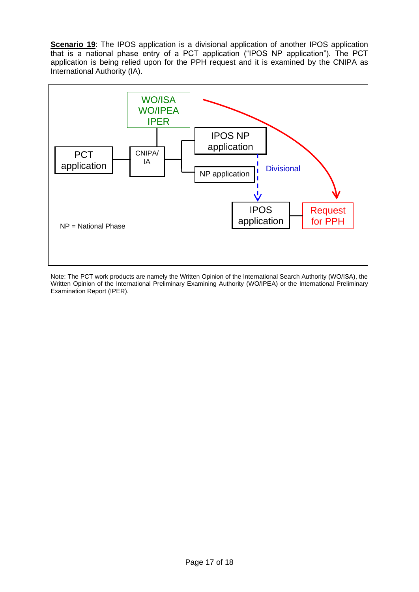**Scenario 19:** The IPOS application is a divisional application of another IPOS application that is a national phase entry of a PCT application ("IPOS NP application"). The PCT application is being relied upon for the PPH request and it is examined by the CNIPA as International Authority (IA).



Note: The PCT work products are namely the Written Opinion of the International Search Authority (WO/ISA), the Written Opinion of the International Preliminary Examining Authority (WO/IPEA) or the International Preliminary Examination Report (IPER).